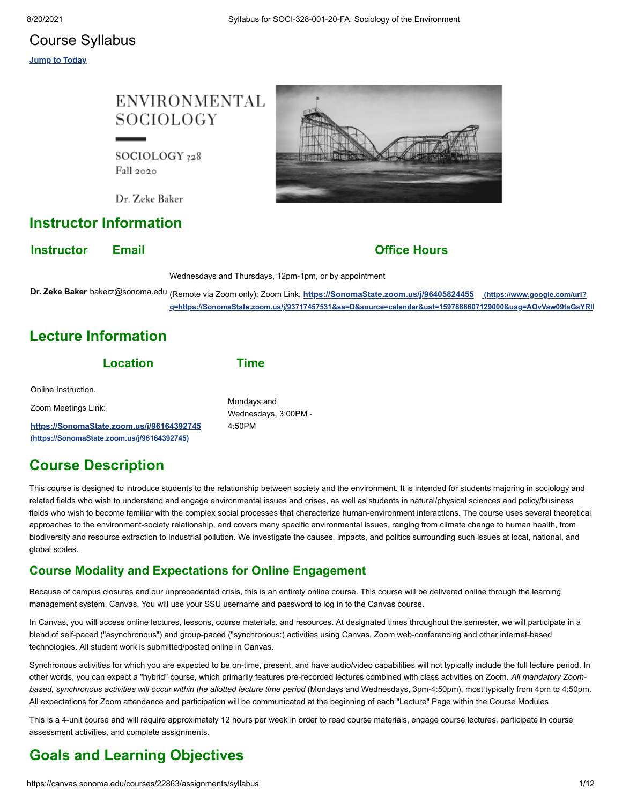## Course Syllabus

**Jump to Today**

# **ENVIRONMENTAL SOCIOLOGY**

SOCIOLOGY 328 Fall 2020

Dr. Zeke Baker

## **Instructor Information**

**Instructor Email Construction Email Office Hours** 

Wednesdays and Thursdays, 12pm-1pm, or by appointment

**Dr. Zeke Baker** bakerz@sonoma.edu (Remote via Zoom only): Zoom Link: **https://SonomaState.zoom.us/j/96405824455 (https://www.google.com/url? [q=https://SonomaState.zoom.us/j/93717457531&sa=D&source=calendar&ust=1597886607129000&usg=AOvVaw09taGsYRlM](https://www.google.com/url?q=https://SonomaState.zoom.us/j/93717457531&sa=D&source=calendar&ust=1597886607129000&usg=AOvVaw09taGsYRlMOEFO270fp9yg)**

# **Lecture Information**

| Mondays and<br>Wednesdays, 3:00PM - |
|-------------------------------------|
| 4:50PM                              |
|                                     |

# **Course Description**

This course is designed to introduce students to the relationship between society and the environment. It is intended for students majoring in sociology and related fields who wish to understand and engage environmental issues and crises, as well as students in natural/physical sciences and policy/business fields who wish to become familiar with the complex social processes that characterize human-environment interactions. The course uses several theoretical approaches to the environment-society relationship, and covers many specific environmental issues, ranging from climate change to human health, from biodiversity and resource extraction to industrial pollution. We investigate the causes, impacts, and politics surrounding such issues at local, national, and global scales.

## **Course Modality and Expectations for Online Engagement**

Because of campus closures and our unprecedented crisis, this is an entirely online course. This course will be delivered online through the learning management system, Canvas. You will use your SSU username and password to log in to the Canvas course.

In Canvas, you will access online lectures, lessons, course materials, and resources. At designated times throughout the semester, we will participate in a blend of self-paced ("asynchronous") and group-paced ("synchronous:) activities using Canvas, Zoom web-conferencing and other internet-based technologies. All student work is submitted/posted online in Canvas.

Synchronous activities for which you are expected to be on-time, present, and have audio/video capabilities will not typically include the full lecture period. In other words, you can expect a "hybrid" course, which primarily features pre-recorded lectures combined with class activities on Zoom. *All mandatory Zoombased, synchronous activities will occur within the allotted lecture time period* (Mondays and Wednesdays, 3pm-4:50pm), most typically from 4pm to 4:50pm. All expectations for Zoom attendance and participation will be communicated at the beginning of each "Lecture" Page within the Course Modules.

This is a 4-unit course and will require approximately 12 hours per week in order to read course materials, engage course lectures, participate in course assessment activities, and complete assignments.

# **Goals and Learning Objectives**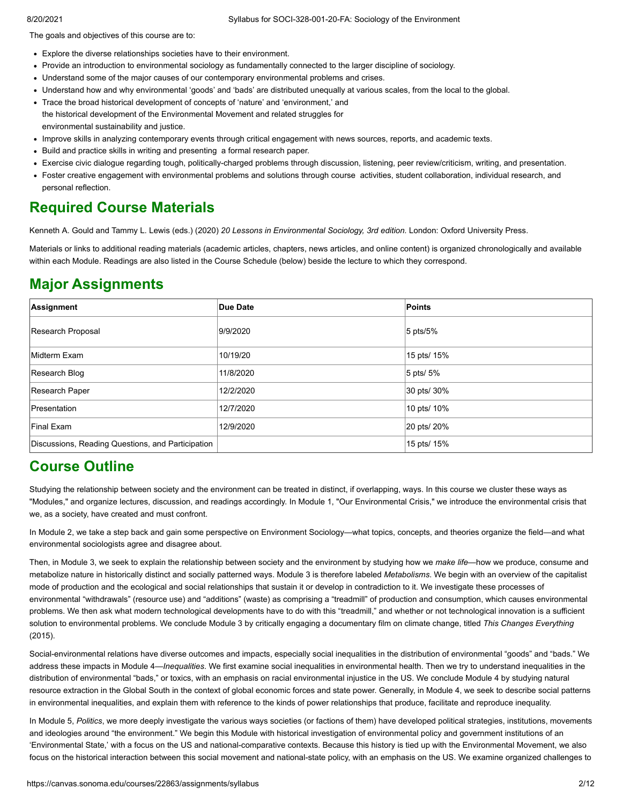The goals and objectives of this course are to:

- Explore the diverse relationships societies have to their environment.
- Provide an introduction to environmental sociology as fundamentally connected to the larger discipline of sociology.
- Understand some of the major causes of our contemporary environmental problems and crises.
- Understand how and why environmental 'goods' and 'bads' are distributed unequally at various scales, from the local to the global.
- Trace the broad historical development of concepts of 'nature' and 'environment,' and the historical development of the Environmental Movement and related struggles for environmental sustainability and justice.
- Improve skills in analyzing contemporary events through critical engagement with news sources, reports, and academic texts.
- Build and practice skills in writing and presenting a formal research paper.
- Exercise civic dialogue regarding tough, politically-charged problems through discussion, listening, peer review/criticism, writing, and presentation.
- Foster creative engagement with environmental problems and solutions through course activities, student collaboration, individual research, and personal reflection.

# **Required Course Materials**

Kenneth A. Gould and Tammy L. Lewis (eds.) (2020) *20 Lessons in Environmental Sociology, 3rd edition.* London: Oxford University Press.

Materials or links to additional reading materials (academic articles, chapters, news articles, and online content) is organized chronologically and available within each Module. Readings are also listed in the Course Schedule (below) beside the lecture to which they correspond.

# **Major Assignments**

| Assignment                                        | Due Date  | Points      |
|---------------------------------------------------|-----------|-------------|
| Research Proposal                                 | 9/9/2020  | $5$ pts/5%  |
| Midterm Exam                                      | 10/19/20  | 15 pts/ 15% |
| Research Blog                                     | 11/8/2020 | 5 pts/ 5%   |
| Research Paper                                    | 12/2/2020 | 30 pts/ 30% |
| <b>Presentation</b>                               | 12/7/2020 | 10 pts/ 10% |
| <b>Final Exam</b>                                 | 12/9/2020 | 20 pts/ 20% |
| Discussions, Reading Questions, and Participation |           | 15 pts/ 15% |

## **Course Outline**

Studying the relationship between society and the environment can be treated in distinct, if overlapping, ways. In this course we cluster these ways as "Modules," and organize lectures, discussion, and readings accordingly. In Module 1, "Our Environmental Crisis," we introduce the environmental crisis that we, as a society, have created and must confront.

In Module 2, we take a step back and gain some perspective on Environment Sociology—what topics, concepts, and theories organize the field—and what environmental sociologists agree and disagree about.

Then, in Module 3, we seek to explain the relationship between society and the environment by studying how we *make life*—how we produce, consume and metabolize nature in historically distinct and socially patterned ways. Module 3 is therefore labeled *Metabolisms*. We begin with an overview of the capitalist mode of production and the ecological and social relationships that sustain it or develop in contradiction to it. We investigate these processes of environmental "withdrawals" (resource use) and "additions" (waste) as comprising a "treadmill" of production and consumption, which causes environmental problems. We then ask what modern technological developments have to do with this "treadmill," and whether or not technological innovation is a sufficient solution to environmental problems. We conclude Module 3 by critically engaging a documentary film on climate change, titled *This Changes Everything* (2015).

Social-environmental relations have diverse outcomes and impacts, especially social inequalities in the distribution of environmental "goods" and "bads." We address these impacts in Module 4—*Inequalities*. We first examine social inequalities in environmental health. Then we try to understand inequalities in the distribution of environmental "bads," or toxics, with an emphasis on racial environmental injustice in the US. We conclude Module 4 by studying natural resource extraction in the Global South in the context of global economic forces and state power. Generally, in Module 4, we seek to describe social patterns in environmental inequalities, and explain them with reference to the kinds of power relationships that produce, facilitate and reproduce inequality.

In Module 5, *Politics*, we more deeply investigate the various ways societies (or factions of them) have developed political strategies, institutions, movements and ideologies around "the environment." We begin this Module with historical investigation of environmental policy and government institutions of an 'Environmental State,' with a focus on the US and national-comparative contexts. Because this history is tied up with the Environmental Movement, we also focus on the historical interaction between this social movement and national-state policy, with an emphasis on the US. We examine organized challenges to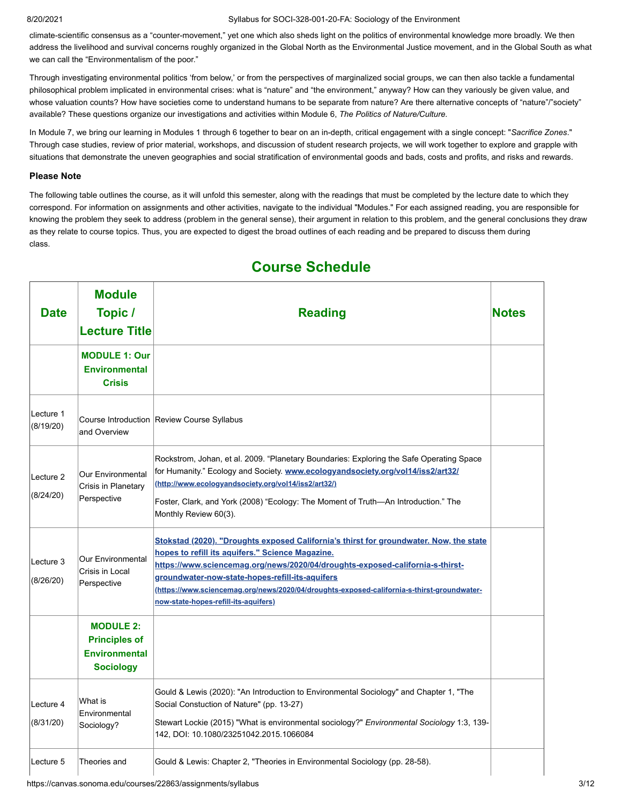climate-scientific consensus as a "counter-movement," yet one which also sheds light on the politics of environmental knowledge more broadly. We then address the livelihood and survival concerns roughly organized in the Global North as the Environmental Justice movement, and in the Global South as what we can call the "Environmentalism of the poor."

Through investigating environmental politics 'from below,' or from the perspectives of marginalized social groups, we can then also tackle a fundamental philosophical problem implicated in environmental crises: what is "nature" and "the environment," anyway? How can they variously be given value, and whose valuation counts? How have societies come to understand humans to be separate from nature? Are there alternative concepts of "nature"/"society" available? These questions organize our investigations and activities within Module 6, *The Politics of Nature/Culture.*

In Module 7, we bring our learning in Modules 1 through 6 together to bear on an in-depth, critical engagement with a single concept: "*Sacrifice Zones*." Through case studies, review of prior material, workshops, and discussion of student research projects, we will work together to explore and grapple with situations that demonstrate the uneven geographies and social stratification of environmental goods and bads, costs and profits, and risks and rewards.

#### **Please Note**

The following table outlines the course, as it will unfold this semester, along with the readings that must be completed by the lecture date to which they correspond. For information on assignments and other activities, navigate to the individual "Modules." For each assigned reading, you are responsible for knowing the problem they seek to address (problem in the general sense), their argument in relation to this problem, and the general conclusions they draw as they relate to course topics. Thus, you are expected to digest the broad outlines of each reading and be prepared to discuss them during class.

| <b>Date</b>            | <b>Module</b><br>Topic /<br><b>Lecture Title</b>                                     | <b>Reading</b>                                                                                                                                                                                                                                                                                                                                                                                                              |  |
|------------------------|--------------------------------------------------------------------------------------|-----------------------------------------------------------------------------------------------------------------------------------------------------------------------------------------------------------------------------------------------------------------------------------------------------------------------------------------------------------------------------------------------------------------------------|--|
|                        | <b>MODULE 1: Our</b><br><b>Environmental</b><br><b>Crisis</b>                        |                                                                                                                                                                                                                                                                                                                                                                                                                             |  |
| Lecture 1<br>(8/19/20) | and Overview                                                                         | Course Introduction Review Course Syllabus                                                                                                                                                                                                                                                                                                                                                                                  |  |
| Lecture 2<br>(8/24/20) | Our Environmental<br>Crisis in Planetary<br>Perspective                              | Rockstrom, Johan, et al. 2009. "Planetary Boundaries: Exploring the Safe Operating Space<br>for Humanity." Ecology and Society. www.ecologyandsociety.org/vol14/iss2/art32/<br>(http://www.ecologyandsociety.org/vol14/iss2/art32/)<br>Foster, Clark, and York (2008) "Ecology: The Moment of Truth—An Introduction." The<br>Monthly Review 60(3).                                                                          |  |
| Lecture 3<br>(8/26/20) | Our Environmental<br>Crisis in Local<br>Perspective                                  | <b>Stokstad (2020). "Droughts exposed California's thirst for groundwater. Now, the state</b><br>hopes to refill its aquifers." Science Magazine.<br>https://www.sciencemag.org/news/2020/04/droughts-exposed-california-s-thirst-<br>groundwater-now-state-hopes-refill-its-aquifers<br>(https://www.sciencemag.org/news/2020/04/droughts-exposed-california-s-thirst-groundwater-<br>now-state-hopes-refill-its-aquifers) |  |
|                        | <b>MODULE 2:</b><br><b>Principles of</b><br><b>Environmental</b><br><b>Sociology</b> |                                                                                                                                                                                                                                                                                                                                                                                                                             |  |
| Lecture 4<br>(8/31/20) | What is<br>Environmental<br>Sociology?                                               | Gould & Lewis (2020): "An Introduction to Environmental Sociology" and Chapter 1, "The<br>Social Constuction of Nature" (pp. 13-27)<br>Stewart Lockie (2015) "What is environmental sociology?" Environmental Sociology 1:3, 139-<br>142, DOI: 10.1080/23251042.2015.1066084                                                                                                                                                |  |
| Lecture 5              | Theories and                                                                         | Gould & Lewis: Chapter 2, "Theories in Environmental Sociology (pp. 28-58).                                                                                                                                                                                                                                                                                                                                                 |  |

# **Course Schedule**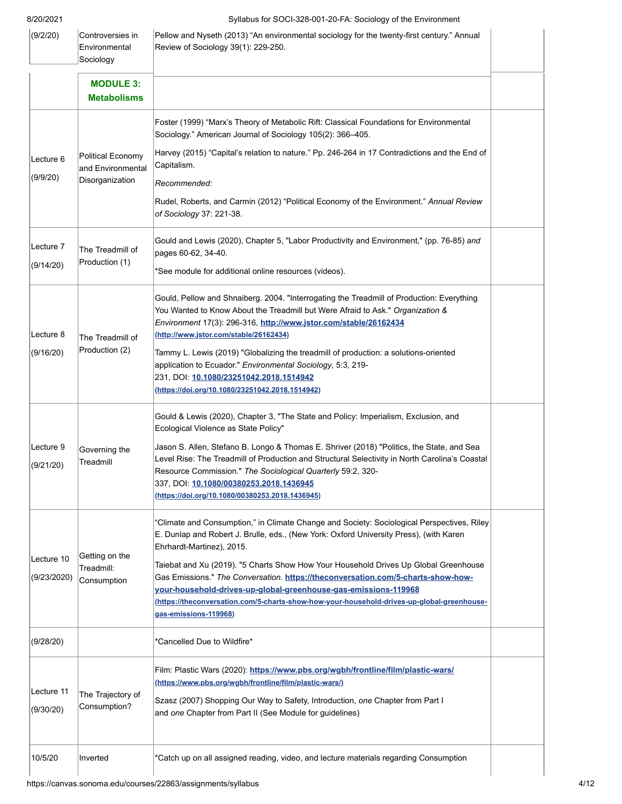| (9/2/20)                  | Controversies in<br>Environmental<br>Sociology            | Pellow and Nyseth (2013) "An environmental sociology for the twenty-first century." Annual<br>Review of Sociology 39(1): 229-250.                                                                                                                                                                                                                                                                                                                                                                                                                                                       |  |
|---------------------------|-----------------------------------------------------------|-----------------------------------------------------------------------------------------------------------------------------------------------------------------------------------------------------------------------------------------------------------------------------------------------------------------------------------------------------------------------------------------------------------------------------------------------------------------------------------------------------------------------------------------------------------------------------------------|--|
|                           | <b>MODULE 3:</b><br><b>Metabolisms</b>                    |                                                                                                                                                                                                                                                                                                                                                                                                                                                                                                                                                                                         |  |
| Lecture 6<br>(9/9/20)     | Political Economy<br>and Environmental<br>Disorganization | Foster (1999) "Marx's Theory of Metabolic Rift: Classical Foundations for Environmental<br>Sociology." American Journal of Sociology 105(2): 366-405.<br>Harvey (2015) "Capital's relation to nature." Pp. 246-264 in 17 Contradictions and the End of<br>Capitalism.<br>Recommended:<br>Rudel, Roberts, and Carmin (2012) "Political Economy of the Environment." Annual Review<br>of Sociology 37: 221-38.                                                                                                                                                                            |  |
| Lecture 7<br>(9/14/20)    | The Treadmill of<br>Production (1)                        | Gould and Lewis (2020), Chapter 5, "Labor Productivity and Environment," (pp. 76-85) and<br>pages 60-62, 34-40.<br>*See module for additional online resources (videos).                                                                                                                                                                                                                                                                                                                                                                                                                |  |
| Lecture 8<br>(9/16/20)    | The Treadmill of<br>Production (2)                        | Gould, Pellow and Shnaiberg. 2004. "Interrogating the Treadmill of Production: Everything<br>You Wanted to Know About the Treadmill but Were Afraid to Ask." Organization &<br>Environment 17(3): 296-316, http://www.jstor.com/stable/26162434<br>(http://www.jstor.com/stable/26162434)<br>Tammy L. Lewis (2019) "Globalizing the treadmill of production: a solutions-oriented<br>application to Ecuador." Environmental Sociology, 5:3, 219-<br>231, DOI: 10.1080/23251042.2018.1514942<br>(https://doi.org/10.1080/23251042.2018.1514942)                                          |  |
| Lecture 9<br>(9/21/20)    | Governing the<br>Treadmill                                | Gould & Lewis (2020), Chapter 3, "The State and Policy: Imperialism, Exclusion, and<br>Ecological Violence as State Policy"<br>Jason S. Allen, Stefano B. Longo & Thomas E. Shriver (2018) "Politics, the State, and Sea<br>Level Rise: The Treadmill of Production and Structural Selectivity in North Carolina's Coastal<br>Resource Commission." The Sociological Quarterly 59:2, 320-<br>337, DOI: 10.1080/00380253.2018.1436945<br>(https://doi.org/10.1080/00380253.2018.1436945)                                                                                                 |  |
| Lecture 10<br>(9/23/2020) | Getting on the<br>Treadmill:<br>Consumption               | "Climate and Consumption," in Climate Change and Society: Sociological Perspectives, Riley<br>E. Dunlap and Robert J. Brulle, eds., (New York: Oxford University Press), (with Karen<br>Ehrhardt-Martinez), 2015.<br>Taiebat and Xu (2019). "5 Charts Show How Your Household Drives Up Global Greenhouse<br>Gas Emissions." The Conversation. https://theconversation.com/5-charts-show-how-<br>your-household-drives-up-global-greenhouse-gas-emissions-119968<br>(https://theconversation.com/5-charts-show-how-your-household-drives-up-global-greenhouse-<br>gas-emissions-119968) |  |
| (9/28/20)                 |                                                           | *Cancelled Due to Wildfire*                                                                                                                                                                                                                                                                                                                                                                                                                                                                                                                                                             |  |
| Lecture 11<br>(9/30/20)   | The Trajectory of<br>Consumption?                         | Film: Plastic Wars (2020): https://www.pbs.org/wgbh/frontline/film/plastic-wars/<br>(https://www.pbs.org/wgbh/frontline/film/plastic-wars/)<br>Szasz (2007) Shopping Our Way to Safety, Introduction, one Chapter from Part I<br>and one Chapter from Part II (See Module for guidelines)                                                                                                                                                                                                                                                                                               |  |
| 10/5/20                   | Inverted                                                  | *Catch up on all assigned reading, video, and lecture materials regarding Consumption                                                                                                                                                                                                                                                                                                                                                                                                                                                                                                   |  |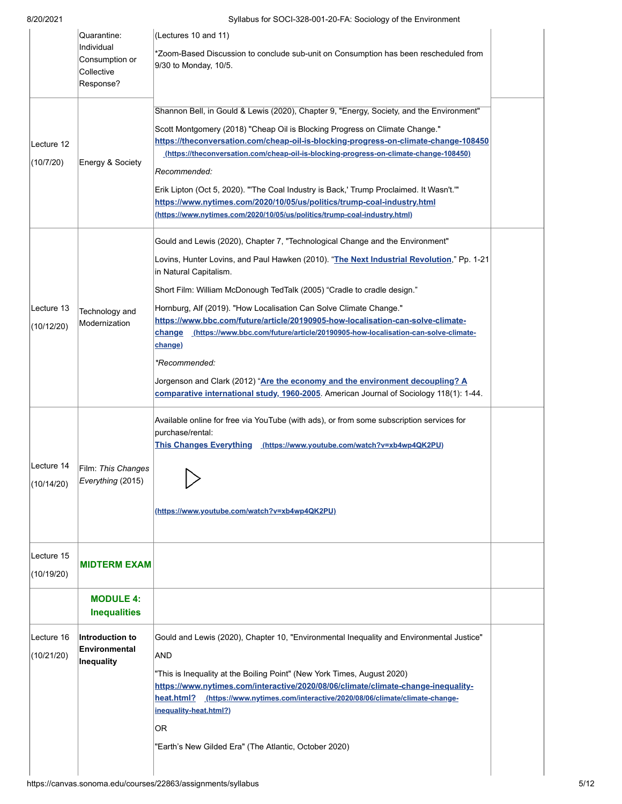| Lecture 16<br>(10/21/20) | <b>Inequalities</b><br>Introduction to<br>Environmental<br>Inequality  | Gould and Lewis (2020), Chapter 10, "Environmental Inequality and Environmental Justice"<br><b>AND</b><br>"This is Inequality at the Boiling Point" (New York Times, August 2020)<br>https://www.nytimes.com/interactive/2020/08/06/climate/climate-change-inequality-<br>heat.html? (https://www.nytimes.com/interactive/2020/08/06/climate/climate-change-<br>inequality-heat.html?)<br>OR.                                                                                                                                                                                                                              |
|--------------------------|------------------------------------------------------------------------|----------------------------------------------------------------------------------------------------------------------------------------------------------------------------------------------------------------------------------------------------------------------------------------------------------------------------------------------------------------------------------------------------------------------------------------------------------------------------------------------------------------------------------------------------------------------------------------------------------------------------|
| Lecture 15<br>(10/19/20) | <b>MIDTERM EXAM</b><br><b>MODULE 4:</b>                                |                                                                                                                                                                                                                                                                                                                                                                                                                                                                                                                                                                                                                            |
| Lecture 14<br>(10/14/20) | Film: This Changes<br>Everything (2015)                                | This Changes Everything (https://www.youtube.com/watch?v=xb4wp4QK2PU)<br>(https://www.youtube.com/watch?v=xb4wp4QK2PU)                                                                                                                                                                                                                                                                                                                                                                                                                                                                                                     |
| (10/12/20)               | Technology and<br>Modernization                                        | https://www.bbc.com/future/article/20190905-how-localisation-can-solve-climate-<br>change (https://www.bbc.com/future/article/20190905-how-localisation-can-solve-climate-<br>change)<br>*Recommended:<br>Jorgenson and Clark (2012) "Are the economy and the environment decoupling? A<br>comparative international study, 1960-2005. American Journal of Sociology 118(1): 1-44.<br>Available online for free via YouTube (with ads), or from some subscription services for<br>purchase/rental:                                                                                                                         |
| Lecture 13               |                                                                        | Gould and Lewis (2020), Chapter 7, "Technological Change and the Environment"<br>Lovins, Hunter Lovins, and Paul Hawken (2010). "The Next Industrial Revolution," Pp. 1-21<br>in Natural Capitalism.<br>Short Film: William McDonough TedTalk (2005) "Cradle to cradle design."<br>Hornburg, Alf (2019). "How Localisation Can Solve Climate Change."                                                                                                                                                                                                                                                                      |
| Lecture 12<br>(10/7/20)  | Energy & Society                                                       | Shannon Bell, in Gould & Lewis (2020), Chapter 9, "Energy, Society, and the Environment"<br>Scott Montgomery (2018) "Cheap Oil is Blocking Progress on Climate Change."<br>https://theconversation.com/cheap-oil-is-blocking-progress-on-climate-change-108450<br>(https://theconversation.com/cheap-oil-is-blocking-progress-on-climate-change-108450)<br>Recommended:<br>Erik Lipton (Oct 5, 2020). "'The Coal Industry is Back,' Trump Proclaimed. It Wasn't.'"<br>https://www.nytimes.com/2020/10/05/us/politics/trump-coal-industry.html<br>(https://www.nytimes.com/2020/10/05/us/politics/trump-coal-industry.html) |
|                          | Quarantine:<br>Individual<br>Consumption or<br>Collective<br>Response? | (Lectures 10 and 11)<br>*Zoom-Based Discussion to conclude sub-unit on Consumption has been rescheduled from<br>9/30 to Monday, 10/5.                                                                                                                                                                                                                                                                                                                                                                                                                                                                                      |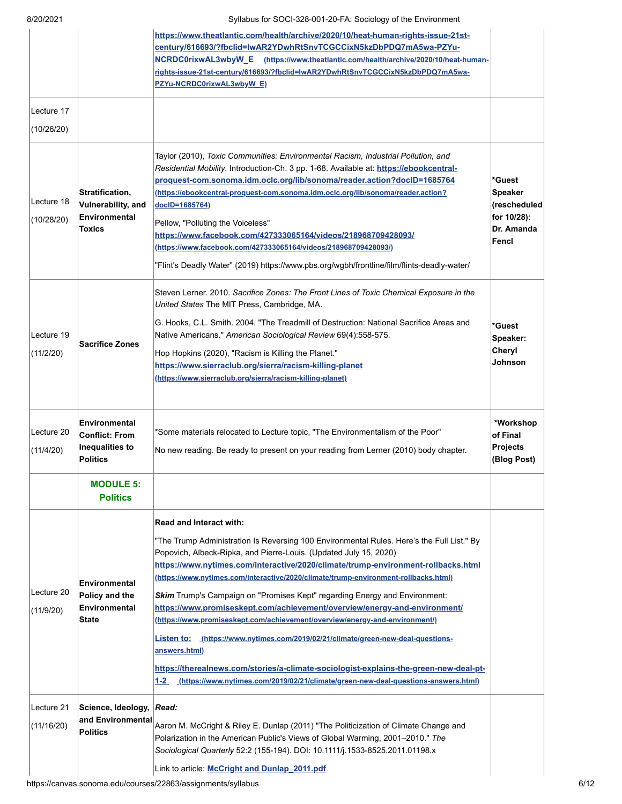|                          |                                                                              | https://www.theatlantic.com/health/archive/2020/10/heat-human-rights-issue-21st-<br>century/616693/?fbclid=lwAR2YDwhRtSnvTCGCCixN5kzDbPDQ7mA5wa-PZYu-<br>NCRDC0rixwAL3wbyW_E (https://www.theatlantic.com/health/archive/2020/10/heat-human-<br>rights-issue-21st-century/616693/?fbclid=lwAR2YDwhRtSnvTCGCCixN5kzDbPDQ7mA5wa-<br>PZYu-NCRDC0rixwAL3wbyW_E)                                                                                                                                                                                                                                                                                                                                                                                                                                                                                                                                                    |                                                                                |
|--------------------------|------------------------------------------------------------------------------|----------------------------------------------------------------------------------------------------------------------------------------------------------------------------------------------------------------------------------------------------------------------------------------------------------------------------------------------------------------------------------------------------------------------------------------------------------------------------------------------------------------------------------------------------------------------------------------------------------------------------------------------------------------------------------------------------------------------------------------------------------------------------------------------------------------------------------------------------------------------------------------------------------------|--------------------------------------------------------------------------------|
| Lecture 17<br>(10/26/20) |                                                                              |                                                                                                                                                                                                                                                                                                                                                                                                                                                                                                                                                                                                                                                                                                                                                                                                                                                                                                                |                                                                                |
| Lecture 18<br>(10/28/20) | Stratification,<br>Vulnerability, and<br>Environmental<br><b>Toxics</b>      | Taylor (2010), Toxic Communities: Environmental Racism, Industrial Pollution, and<br>Residential Mobility, Introduction-Ch. 3 pp. 1-68. Available at: https://ebookcentral-<br>proquest-com.sonoma.idm.oclc.org/lib/sonoma/reader.action?doclD=1685764<br>(https://ebookcentral-proquest-com.sonoma.idm.oclc.org/lib/sonoma/reader.action?<br>docID=1685764)<br>Pellow, "Polluting the Voiceless"<br>https://www.facebook.com/427333065164/videos/218968709428093/<br>(https://www.facebook.com/427333065164/videos/218968709428093/)<br>"Flint's Deadly Water" (2019) https://www.pbs.org/wgbh/frontline/film/flints-deadly-water/                                                                                                                                                                                                                                                                            | *Guest<br><b>Speaker</b><br>(rescheduled<br>for 10/28):<br>Dr. Amanda<br>Fencl |
| Lecture 19<br>(11/2/20)  | <b>Sacrifice Zones</b>                                                       | Steven Lerner. 2010. Sacrifice Zones: The Front Lines of Toxic Chemical Exposure in the<br>United States The MIT Press, Cambridge, MA.<br>G. Hooks, C.L. Smith. 2004. "The Treadmill of Destruction: National Sacrifice Areas and<br>Native Americans." American Sociological Review 69(4):558-575.<br>Hop Hopkins (2020), "Racism is Killing the Planet."<br>https://www.sierraclub.org/sierra/racism-killing-planet<br>(https://www.sierraclub.org/sierra/racism-killing-planet)                                                                                                                                                                                                                                                                                                                                                                                                                             | *Guest<br>Speaker:<br>Cheryl<br>Johnson                                        |
| Lecture 20<br>(11/4/20)  | Environmental<br><b>Conflict: From</b><br>Inequalities to<br><b>Politics</b> | *Some materials relocated to Lecture topic, "The Environmentalism of the Poor"<br>No new reading. Be ready to present on your reading from Lerner (2010) body chapter.                                                                                                                                                                                                                                                                                                                                                                                                                                                                                                                                                                                                                                                                                                                                         | *Workshop<br>of Final<br><b>Projects</b><br>(Blog Post)                        |
|                          | <b>MODULE 5:</b><br><b>Politics</b>                                          |                                                                                                                                                                                                                                                                                                                                                                                                                                                                                                                                                                                                                                                                                                                                                                                                                                                                                                                |                                                                                |
| Lecture 20<br>(11/9/20)  | Environmental<br>Policy and the<br>Environmental<br><b>State</b>             | <b>Read and Interact with:</b><br>"The Trump Administration Is Reversing 100 Environmental Rules. Here's the Full List." By<br>Popovich, Albeck-Ripka, and Pierre-Louis. (Updated July 15, 2020)<br>https://www.nytimes.com/interactive/2020/climate/trump-environment-rollbacks.html<br>(https://www.nytimes.com/interactive/2020/climate/trump-environment-rollbacks.html)<br>Skim Trump's Campaign on "Promises Kept" regarding Energy and Environment:<br>https://www.promiseskept.com/achievement/overview/energy-and-environment/<br>(https://www.promiseskept.com/achievement/overview/energy-and-environment/)<br>Listen to: (https://www.nytimes.com/2019/02/21/climate/green-new-deal-questions-<br>answers.html)<br>https://therealnews.com/stories/a-climate-sociologist-explains-the-green-new-deal-pt-<br>1-2 (https://www.nytimes.com/2019/02/21/climate/green-new-deal-questions-answers.html) |                                                                                |
| Lecture 21<br>(11/16/20) | Science, Ideology,<br>and Environmental<br><b>Politics</b>                   | Read:<br>Aaron M. McCright & Riley E. Dunlap (2011) "The Politicization of Climate Change and<br>Polarization in the American Public's Views of Global Warming, 2001-2010." The<br>Sociological Quarterly 52:2 (155-194). DOI: 10.1111/j.1533-8525.2011.01198.x<br>Link to article McCright and Dunlap 2011.pdf                                                                                                                                                                                                                                                                                                                                                                                                                                                                                                                                                                                                |                                                                                |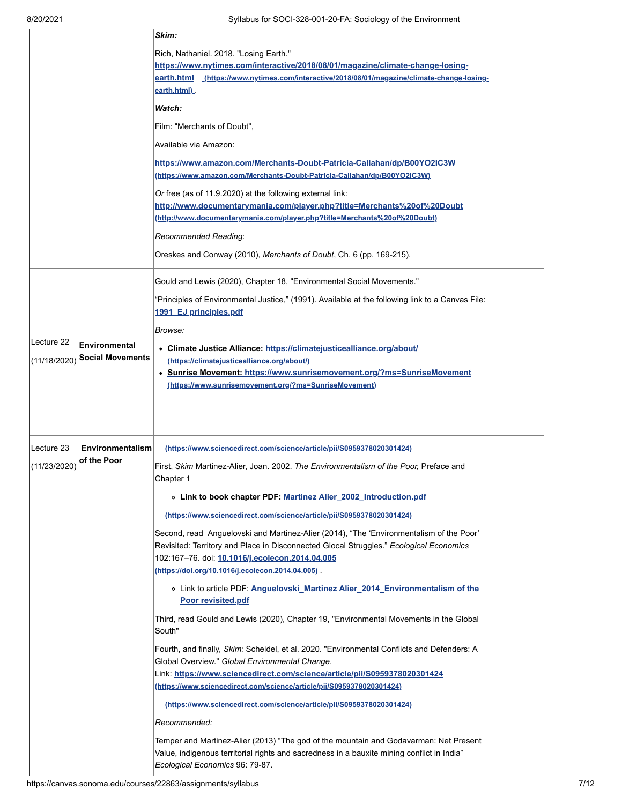|              |                         | Skim:                                                                                                                                                                                                                                                                                           |  |
|--------------|-------------------------|-------------------------------------------------------------------------------------------------------------------------------------------------------------------------------------------------------------------------------------------------------------------------------------------------|--|
|              |                         | Rich, Nathaniel. 2018. "Losing Earth."<br>https://www.nytimes.com/interactive/2018/08/01/magazine/climate-change-losing-<br>earth.html (https://www.nytimes.com/interactive/2018/08/01/magazine/climate-change-losing-<br>earth.html)                                                           |  |
|              |                         | Watch:                                                                                                                                                                                                                                                                                          |  |
|              |                         | Film: "Merchants of Doubt",                                                                                                                                                                                                                                                                     |  |
|              |                         | Available via Amazon:                                                                                                                                                                                                                                                                           |  |
|              |                         | https://www.amazon.com/Merchants-Doubt-Patricia-Callahan/dp/B00YO2IC3W<br>(https://www.amazon.com/Merchants-Doubt-Patricia-Callahan/dp/B00YO2IC3W)                                                                                                                                              |  |
|              |                         | Or free (as of 11.9.2020) at the following external link:<br>http://www.documentarymania.com/player.php?title=Merchants%20of%20Doubt<br>(http://www.documentarymania.com/player.php?title=Merchants%20of%20Doubt)                                                                               |  |
|              |                         | Recommended Reading:                                                                                                                                                                                                                                                                            |  |
|              |                         | Oreskes and Conway (2010), <i>Merchants of Doubt</i> , Ch. 6 (pp. 169-215).                                                                                                                                                                                                                     |  |
|              |                         | Gould and Lewis (2020), Chapter 18, "Environmental Social Movements."<br>"Principles of Environmental Justice," (1991). Available at the following link to a Canvas File:                                                                                                                       |  |
|              |                         | 1991 EJ principles.pdf                                                                                                                                                                                                                                                                          |  |
|              |                         | Browse:                                                                                                                                                                                                                                                                                         |  |
| Lecture 22   | Environmental           | • Climate Justice Alliance: https://climatejusticealliance.org/about/                                                                                                                                                                                                                           |  |
| (11/18/2020) | <b>Social Movements</b> | (https://climatejusticealliance.org/about/)<br>• Sunrise Movement: https://www.sunrisemovement.org/?ms=SunriseMovement                                                                                                                                                                          |  |
|              |                         | (https://www.sunrisemovement.org/?ms=SunriseMovement)                                                                                                                                                                                                                                           |  |
|              |                         |                                                                                                                                                                                                                                                                                                 |  |
| Lecture 23   | <b>Environmentalism</b> | (https://www.sciencedirect.com/science/article/pii/S0959378020301424)                                                                                                                                                                                                                           |  |
| (11/23/2020) | of the Poor             | First, Skim Martinez-Alier, Joan. 2002. The Environmentalism of the Poor, Preface and<br>Chapter 1                                                                                                                                                                                              |  |
|              |                         | o Link to book chapter PDF: Martinez Alier 2002 Introduction.pdf                                                                                                                                                                                                                                |  |
|              |                         | (https://www.sciencedirect.com/science/article/pii/S0959378020301424)                                                                                                                                                                                                                           |  |
|              |                         | Second, read Anguelovski and Martinez-Alier (2014), "The 'Environmentalism of the Poor'<br>Revisited: Territory and Place in Disconnected Glocal Struggles." Ecological Economics<br>102:167-76. doi: 10.1016/j.ecolecon.2014.04.005<br><u>(https://doi.org/10.1016/j.ecolecon.2014.04.005)</u> |  |
|              |                         | ○ Link to article PDF: Anguelovski Martinez Alier 2014 Environmentalism of the<br>Poor revisited.pdf                                                                                                                                                                                            |  |
|              |                         | Third, read Gould and Lewis (2020), Chapter 19, "Environmental Movements in the Global<br>South"                                                                                                                                                                                                |  |
|              |                         | Fourth, and finally, Skim: Scheidel, et al. 2020. "Environmental Conflicts and Defenders: A<br>Global Overview." Global Environmental Change.                                                                                                                                                   |  |
|              |                         | Link: https://www.sciencedirect.com/science/article/pii/S0959378020301424<br>(https://www.sciencedirect.com/science/article/pii/S0959378020301424)                                                                                                                                              |  |
|              |                         | <u>(https://www.sciencedirect.com/science/article/pii/S0959378020301424)</u>                                                                                                                                                                                                                    |  |
|              |                         | Recommended:                                                                                                                                                                                                                                                                                    |  |
|              |                         | Temper and Martinez-Alier (2013) "The god of the mountain and Godavarman: Net Present<br>Value, indigenous territorial rights and sacredness in a bauxite mining conflict in India"<br>Ecological Economics 96: 79-87.                                                                          |  |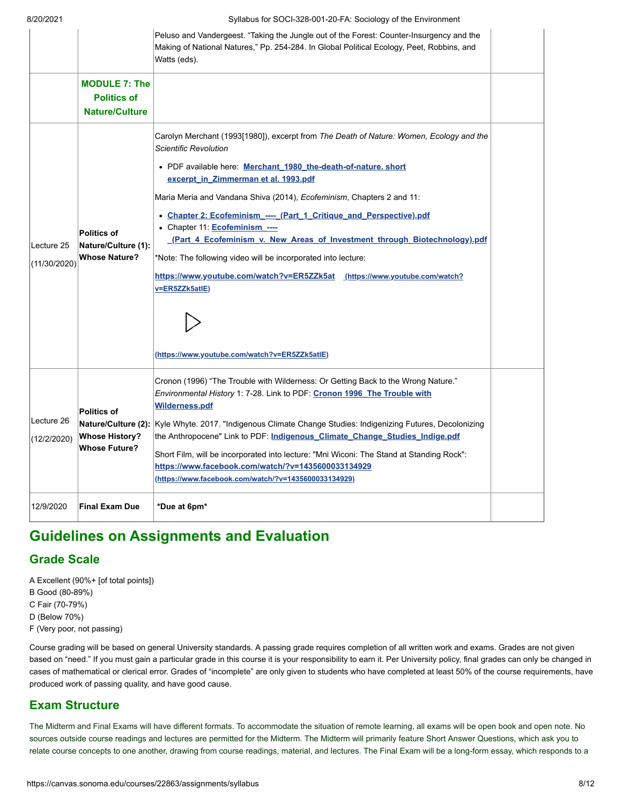| 012012021                   |                                                                     | o yilduus Tor SOCI-S20-00 T-20-FA. Sociology of the Effectiviloritierity                                                                                                                                                                                                                                                                                                                                                                                                                                                                                                                                                                                                                                                  |  |
|-----------------------------|---------------------------------------------------------------------|---------------------------------------------------------------------------------------------------------------------------------------------------------------------------------------------------------------------------------------------------------------------------------------------------------------------------------------------------------------------------------------------------------------------------------------------------------------------------------------------------------------------------------------------------------------------------------------------------------------------------------------------------------------------------------------------------------------------------|--|
|                             |                                                                     | Peluso and Vandergeest. "Taking the Jungle out of the Forest: Counter-Insurgency and the<br>Making of National Natures," Pp. 254-284. In Global Political Ecology, Peet, Robbins, and<br>Watts (eds).                                                                                                                                                                                                                                                                                                                                                                                                                                                                                                                     |  |
|                             | <b>MODULE 7: The</b><br><b>Politics of</b><br><b>Nature/Culture</b> |                                                                                                                                                                                                                                                                                                                                                                                                                                                                                                                                                                                                                                                                                                                           |  |
| ILecture 25<br>(11/30/2020) | <b>Politics of</b><br>Nature/Culture (1):<br><b>Whose Nature?</b>   | Carolyn Merchant (1993[1980]), excerpt from The Death of Nature: Women, Ecology and the<br><b>Scientific Revolution</b><br>• PDF available here: Merchant_1980_the-death-of-nature. short<br>excerpt in Zimmerman et al. 1993.pdf<br>Maria Meria and Vandana Shiva (2014), Ecofeminism, Chapters 2 and 11:<br>• Chapter 2: Ecofeminism_----_ (Part_1_Critique_and_Perspective).pdf<br>• Chapter 11: <b>Ecofeminism</b> ----<br>(Part 4 Ecofeminism v. New Areas of Investment through Biotechnology).pdf<br>*Note: The following video will be incorporated into lecture:<br>https://www.youtube.com/watch?v=ER5ZZk5at (https://www.youtube.com/watch?<br>v=ER5ZZk5atlE)<br>(https://www.youtube.com/watch?v=ER5ZZk5atlE) |  |
| Lecture 26<br>(12/2/2020)   | <b>Politics of</b><br><b>Whose History?</b><br><b>Whose Future?</b> | Cronon (1996) "The Trouble with Wilderness: Or Getting Back to the Wrong Nature."<br>Environmental History 1: 7-28. Link to PDF: Cronon 1996 The Trouble with<br><b>Wilderness.pdf</b><br>Nature/Culture (2): Kyle Whyte. 2017. "Indigenous Climate Change Studies: Indigenizing Futures, Decolonizing<br>the Anthropocene" Link to PDF: Indigenous Climate Change Studies Indige.pdf<br>Short Film, will be incorporated into lecture: "Mni Wiconi: The Stand at Standing Rock":<br>https://www.facebook.com/watch/?v=1435600033134929<br>(https://www.facebook.com/watch/?v=1435600033134929)                                                                                                                           |  |
| 12/9/2020                   | <b>Final Exam Due</b>                                               | *Due at 6pm*                                                                                                                                                                                                                                                                                                                                                                                                                                                                                                                                                                                                                                                                                                              |  |

# **Guidelines on Assignments and Evaluation**

## **Grade Scale**

A Excellent (90%+ [of total points])

B Good (80-89%)

C Fair (70-79%)

D (Below 70%)

F (Very poor, not passing)

Course grading will be based on general University standards. A passing grade requires completion of all written work and exams. Grades are not given based on "need." If you must gain a particular grade in this course it is your responsibility to earn it. Per University policy, final grades can only be changed in cases of mathematical or clerical error. Grades of "incomplete" are only given to students who have completed at least 50% of the course requirements, have produced work of passing quality, and have good cause.

## **Exam Structure**

The Midterm and Final Exams will have different formats. To accommodate the situation of remote learning, all exams will be open book and open note. No sources outside course readings and lectures are permitted for the Midterm. The Midterm will primarily feature Short Answer Questions, which ask you to relate course concepts to one another, drawing from course readings, material, and lectures. The Final Exam will be a long-form essay, which responds to a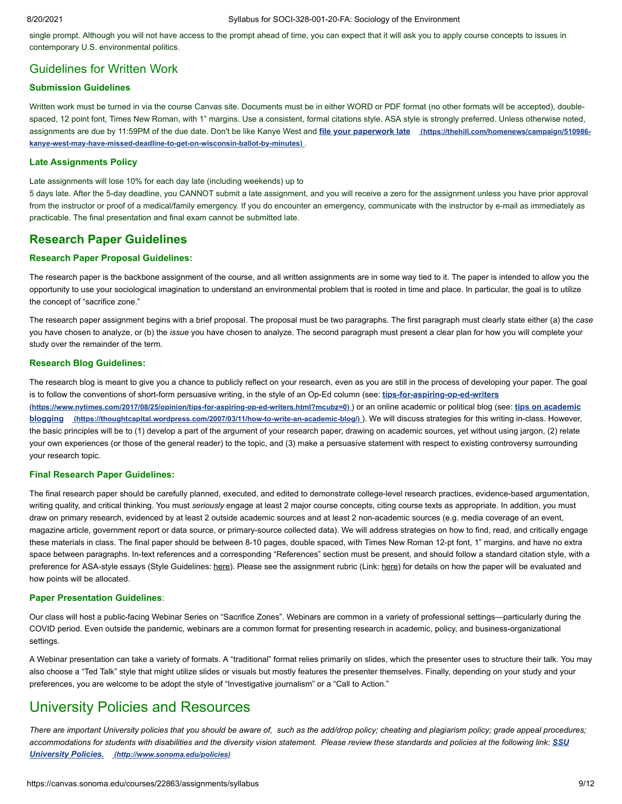single prompt. Although you will not have access to the prompt ahead of time, you can expect that it will ask you to apply course concepts to issues in contemporary U.S. environmental politics.

## Guidelines for Written Work

### **Submission Guidelines**

Written work must be turned in via the course Canvas site. Documents must be in either WORD or PDF format (no other formats will be accepted), doublespaced, 12 point font, Times New Roman, with 1" margins. Use a consistent, formal citations style. ASA style is strongly preferred. Unless otherwise noted, [assignments are due by 11:59PM of the due date. Don't be like Kanye West and](https://thehill.com/homenews/campaign/510986-kanye-west-may-have-missed-deadline-to-get-on-wisconsin-ballot-by-minutes) **file your paperwork late (https://thehill.com/homenews/campaign/510986 kanye-west-may-have-missed-deadline-to-get-on-wisconsin-ballot-by-minutes)** .

#### **Late Assignments Policy**

Late assignments will lose 10% for each day late (including weekends) up to

5 days late. After the 5-day deadline, you CANNOT submit a late assignment, and you will receive a zero for the assignment unless you have prior approval from the instructor or proof of a medical/family emergency. If you do encounter an emergency, communicate with the instructor by e-mail as immediately as practicable. The final presentation and final exam cannot be submitted late.

### **Research Paper Guidelines**

#### **Research Paper Proposal Guidelines:**

The research paper is the backbone assignment of the course, and all written assignments are in some way tied to it. The paper is intended to allow you the opportunity to use your sociological imagination to understand an environmental problem that is rooted in time and place. In particular, the goal is to utilize the concept of "sacrifice zone."

The research paper assignment begins with a brief proposal. The proposal must be two paragraphs. The first paragraph must clearly state either (a) the *case* you have chosen to analyze, or (b) the *issue* you have chosen to analyze. The second paragraph must present a clear plan for how you will complete your study over the remainder of the term.

#### **Research Blog Guidelines:**

The research blog is meant to give you a chance to publicly reflect on your research, even as you are still in the process of developing your paper. The goal [is to follow the conventions of short-form persuasive writing, in the style of an Op-Ed column \(see:](https://www.nytimes.com/2017/08/25/opinion/tips-for-aspiring-op-ed-writers.html?mcubz=0) **tips-for-aspiring-op-ed-writers [\(https://www.nytimes.com/2017/08/25/opinion/tips-for-aspiring-op-ed-writers.html?mcubz=0\)](https://thoughtcapital.wordpress.com/2007/03/11/how-to-write-an-academic-blog/)** ) or an online academic or political blog (see: **tips on academic blogging (https://thoughtcapital.wordpress.com/2007/03/11/how-to-write-an-academic-blog/)** ). We will discuss strategies for this writing in-class. However, the basic principles will be to (1) develop a part of the argument of your research paper, drawing on academic sources, yet without using jargon, (2) relate your own experiences (or those of the general reader) to the topic, and (3) make a persuasive statement with respect to existing controversy surrounding your research topic.

#### **Final Research Paper Guidelines:**

The final research paper should be carefully planned, executed, and edited to demonstrate college-level research practices, evidence-based argumentation, writing quality, and critical thinking. You must *seriously* engage at least 2 major course concepts, citing course texts as appropriate. In addition, you must draw on primary research, evidenced by at least 2 outside academic sources and at least 2 non-academic sources (e.g. media coverage of an event, magazine article, government report or data source, or primary-source collected data). We will address strategies on how to find, read, and critically engage these materials in class. The final paper should be between 8-10 pages, double spaced, with Times New Roman 12-pt font, 1" margins, and have no extra space between paragraphs. In-text references and a corresponding "References" section must be present, and should follow a standard citation style, with a preference for ASA-style essays (Style Guidelines: here). Please see the assignment rubric (Link: here) for details on how the paper will be evaluated and how points will be allocated.

#### **Paper Presentation Guidelines**:

Our class will host a public-facing Webinar Series on "Sacrifice Zones". Webinars are common in a variety of professional settings—particularly during the COVID period. Even outside the pandemic, webinars are a common format for presenting research in academic, policy, and business-organizational settings.

A Webinar presentation can take a variety of formats. A "traditional" format relies primarily on slides, which the presenter uses to structure their talk. You may also choose a "Ted Talk" style that might utilize slides or visuals but mostly features the presenter themselves. Finally, depending on your study and your preferences, you are welcome to be adopt the style of "Investigative journalism" or a "Call to Action."

## University Policies and Resources

*There are important University policies that you should be aware of, such as the add/drop policy; cheating and plagiarism policy; grade appeal procedures;* [accommodations for students with disabilities and the diversity vision statement. Please review these standards and policies at the following link:](http://www.sonoma.edu/policies) **SSU** *University Policies. (http://www.sonoma.edu/policies)*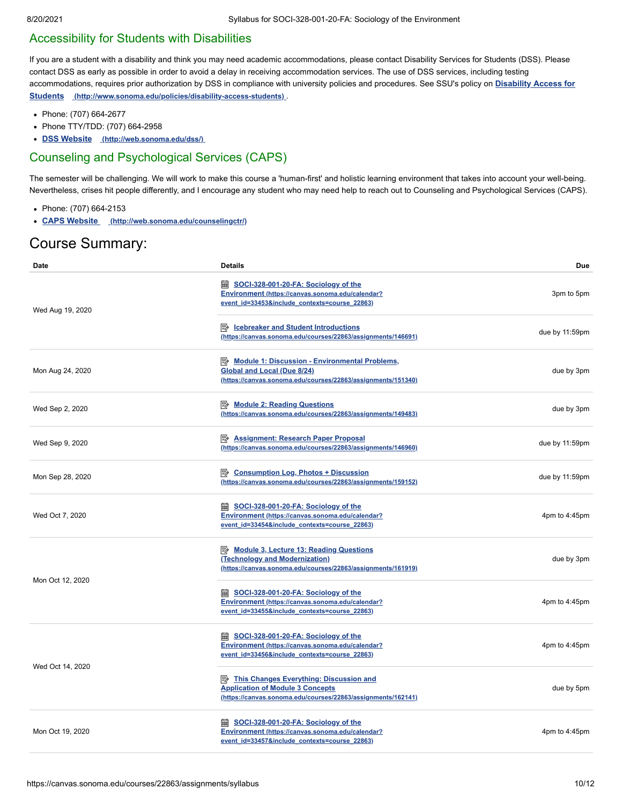## Accessibility for Students with Disabilities

If you are a student with a disability and think you may need academic accommodations, please contact Disability Services for Students (DSS). Please contact DSS as early as possible in order to avoid a delay in receiving accommodation services. The use of DSS services, including testing [accommodations, requires prior authorization by DSS in compliance with university policies and procedures. See SSU's policy on](http://www.sonoma.edu/policies/disability-access-students) **Disability Access for Students (http://www.sonoma.edu/policies/disability-access-students)** .

- Phone: (707) 664-2677
- Phone TTY/TDD: (707) 664-2958
- **DSS Website [\(http://web.sonoma.edu/dss/\)](http://web.sonoma.edu/dss/)**

## Counseling and Psychological Services (CAPS)

The semester will be challenging. We will work to make this course a 'human-first' and holistic learning environment that takes into account your well-being. Nevertheless, crises hit people differently, and I encourage any student who may need help to reach out to Counseling and Psychological Services (CAPS).

- Phone: (707) 664-2153
- **CAPS Website [\(http://web.sonoma.edu/counselingctr/\)](http://web.sonoma.edu/counselingctr/)**

# Course Summary:

| Date             | <b>Details</b>                                                                                                                                              | <b>Due</b>       |
|------------------|-------------------------------------------------------------------------------------------------------------------------------------------------------------|------------------|
| Wed Aug 19, 2020 | <b>■ SOCI-328-001-20-FA: Sociology of the</b><br>Environment (https://canvas.sonoma.edu/calendar?<br>event id=33453&include contexts=course 22863)          | 3pm to 5pm       |
|                  | <b>E</b> Icebreaker and Student Introductions<br>(https://canvas.sonoma.edu/courses/22863/assignments/146691)                                               | due by 11:59pm   |
| Mon Aug 24, 2020 | Module 1: Discussion - Environmental Problems,<br><b>Global and Local (Due 8/24)</b><br>(https://canvas.sonoma.edu/courses/22863/assignments/151340)        | due by 3pm       |
| Wed Sep 2, 2020  | Module 2: Reading Questions<br>(https://canvas.sonoma.edu/courses/22863/assignments/149483)                                                                 | due by 3pm       |
| Wed Sep 9, 2020  | <b>E</b> Assignment: Research Paper Proposal<br>(https://canvas.sonoma.edu/courses/22863/assignments/146960)                                                | due by 11:59pm   |
| Mon Sep 28, 2020 | <b>B</b> Consumption Log, Photos + Discussion<br>(https://canvas.sonoma.edu/courses/22863/assignments/159152)                                               | due by 11:59pm   |
| Wed Oct 7, 2020  | <b>■ SOCI-328-001-20-FA: Sociology of the</b><br>Environment (https://canvas.sonoma.edu/calendar?<br>event id=33454&include contexts=course 22863)          | 4pm to 4:45pm    |
|                  | Module 3, Lecture 13: Reading Questions<br>(Technology and Modernization)<br>(https://canvas.sonoma.edu/courses/22863/assignments/161919)                   | due by 3pm       |
| Mon Oct 12, 2020 | <b>■ SOCI-328-001-20-FA: Sociology of the</b><br>Environment (https://canvas.sonoma.edu/calendar?<br>event id=33455&include contexts=course 22863)          | 4pm to 4:45pm    |
| Wed Oct 14, 2020 | <b>■ SOCI-328-001-20-FA: Sociology of the</b><br>Environment (https://canvas.sonoma.edu/calendar?<br>event id=33456&include contexts=course 22863)          | 4pm to 4:45pm    |
|                  | <b>E</b> This Changes Everything: Discussion and<br><b>Application of Module 3 Concepts</b><br>(https://canvas.sonoma.edu/courses/22863/assignments/162141) | due by 5pm       |
| Mon Oct 19, 2020 | SOCI-328-001-20-FA: Sociology of the<br>Environment (https://canvas.sonoma.edu/calendar?<br>event id=33457&include contexts=course 22863)                   | 4pm to $4:45$ pm |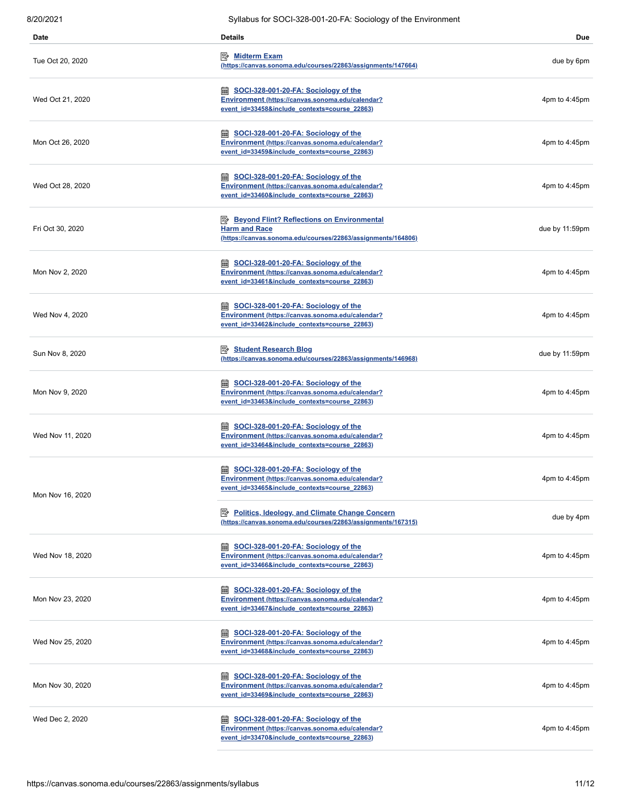| Date             | <b>Details</b>                                                                                                                                          | <b>Due</b>     |
|------------------|---------------------------------------------------------------------------------------------------------------------------------------------------------|----------------|
| Tue Oct 20, 2020 | Ⅳ Midterm Exam<br>(https://canvas.sonoma.edu/courses/22863/assignments/147664)                                                                          | due by 6pm     |
| Wed Oct 21, 2020 | SOCI-328-001-20-FA: Sociology of the<br>Environment (https://canvas.sonoma.edu/calendar?<br>event id=33458&include contexts=course 22863)               | 4pm to 4:45pm  |
| Mon Oct 26, 2020 | <b>■ SOCI-328-001-20-FA: Sociology of the</b><br>Environment (https://canvas.sonoma.edu/calendar?<br>event id=33459&include contexts=course 22863)      | 4pm to 4:45pm  |
| Wed Oct 28, 2020 | SOCI-328-001-20-FA: Sociology of the<br>Environment (https://canvas.sonoma.edu/calendar?<br>event id=33460&include contexts=course 22863)               | 4pm to 4:45pm  |
| Fri Oct 30, 2020 | <b>Beyond Flint? Reflections on Environmental</b><br><b>Harm and Race</b><br>(https://canvas.sonoma.edu/courses/22863/assignments/164806)               | due by 11:59pm |
| Mon Nov 2, 2020  | <b>lady SOCI-328-001-20-FA: Sociology of the</b><br>Environment (https://canvas.sonoma.edu/calendar?<br>event id=33461&include contexts=course 22863)   | 4pm to 4:45pm  |
| Wed Nov 4, 2020  | SOCI-328-001-20-FA: Sociology of the<br>Environment (https://canvas.sonoma.edu/calendar?<br>event id=33462&include contexts=course 22863)               | 4pm to 4:45pm  |
| Sun Nov 8, 2020  | Student Research Blog<br>(https://canvas.sonoma.edu/courses/22863/assignments/146968)                                                                   | due by 11:59pm |
| Mon Nov 9, 2020  | <b>■ SOCI-328-001-20-FA: Sociology of the</b><br>Environment (https://canvas.sonoma.edu/calendar?<br>event id=33463&include_contexts=course_22863)      | 4pm to 4:45pm  |
| Wed Nov 11, 2020 | SOCI-328-001-20-FA: Sociology of the<br>Environment (https://canvas.sonoma.edu/calendar?<br>event id=33464&include contexts=course 22863)               | 4pm to 4:45pm  |
| Mon Nov 16, 2020 | SOCI-328-001-20-FA: Sociology of the<br><b>BBB</b><br>Environment (https://canvas.sonoma.edu/calendar?<br>event id=33465&include contexts=course 22863) | 4pm to 4:45pm  |
|                  | Politics, Ideology, and Climate Change Concern<br>(https://canvas.sonoma.edu/courses/22863/assignments/167315)                                          | due by 4pm     |
| Wed Nov 18, 2020 | SOCI-328-001-20-FA: Sociology of the<br>Environment (https://canvas.sonoma.edu/calendar?<br>event id=33466&include contexts=course 22863)               | 4pm to 4:45pm  |
| Mon Nov 23, 2020 | SOCI-328-001-20-FA: Sociology of the<br>Environment (https://canvas.sonoma.edu/calendar?<br>event id=33467&include contexts=course 22863)               | 4pm to 4:45pm  |
| Wed Nov 25, 2020 | <b>■ SOCI-328-001-20-FA: Sociology of the</b><br>Environment (https://canvas.sonoma.edu/calendar?<br>event id=33468&include contexts=course 22863)      | 4pm to 4:45pm  |
| Mon Nov 30, 2020 | SOCI-328-001-20-FA: Sociology of the<br>Environment (https://canvas.sonoma.edu/calendar?<br>event id=33469&include contexts=course 22863)               | 4pm to 4:45pm  |
| Wed Dec 2, 2020  | SOCI-328-001-20-FA: Sociology of the<br>Environment (https://canvas.sonoma.edu/calendar?<br>event id=33470&include contexts=course 22863)               | 4pm to 4:45pm  |